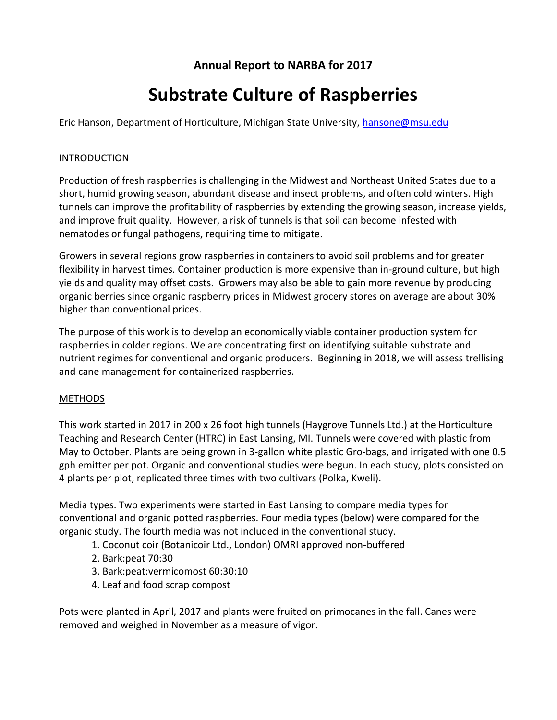# **Annual Report to NARBA for 2017**

# **Substrate Culture of Raspberries**

Eric Hanson, Department of Horticulture, Michigan State University, [hansone@msu.edu](mailto:hansone@msu.edu)

#### INTRODUCTION

Production of fresh raspberries is challenging in the Midwest and Northeast United States due to a short, humid growing season, abundant disease and insect problems, and often cold winters. High tunnels can improve the profitability of raspberries by extending the growing season, increase yields, and improve fruit quality. However, a risk of tunnels is that soil can become infested with nematodes or fungal pathogens, requiring time to mitigate.

Growers in several regions grow raspberries in containers to avoid soil problems and for greater flexibility in harvest times. Container production is more expensive than in-ground culture, but high yields and quality may offset costs. Growers may also be able to gain more revenue by producing organic berries since organic raspberry prices in Midwest grocery stores on average are about 30% higher than conventional prices.

The purpose of this work is to develop an economically viable container production system for raspberries in colder regions. We are concentrating first on identifying suitable substrate and nutrient regimes for conventional and organic producers. Beginning in 2018, we will assess trellising and cane management for containerized raspberries.

## METHODS

This work started in 2017 in 200 x 26 foot high tunnels (Haygrove Tunnels Ltd.) at the Horticulture Teaching and Research Center (HTRC) in East Lansing, MI. Tunnels were covered with plastic from May to October. Plants are being grown in 3-gallon white plastic Gro-bags, and irrigated with one 0.5 gph emitter per pot. Organic and conventional studies were begun. In each study, plots consisted on 4 plants per plot, replicated three times with two cultivars (Polka, Kweli).

Media types. Two experiments were started in East Lansing to compare media types for conventional and organic potted raspberries. Four media types (below) were compared for the organic study. The fourth media was not included in the conventional study.

- 1. Coconut coir (Botanicoir Ltd., London) OMRI approved non-buffered
- 2. Bark:peat 70:30
- 3. Bark:peat:vermicomost 60:30:10
- 4. Leaf and food scrap compost

Pots were planted in April, 2017 and plants were fruited on primocanes in the fall. Canes were removed and weighed in November as a measure of vigor.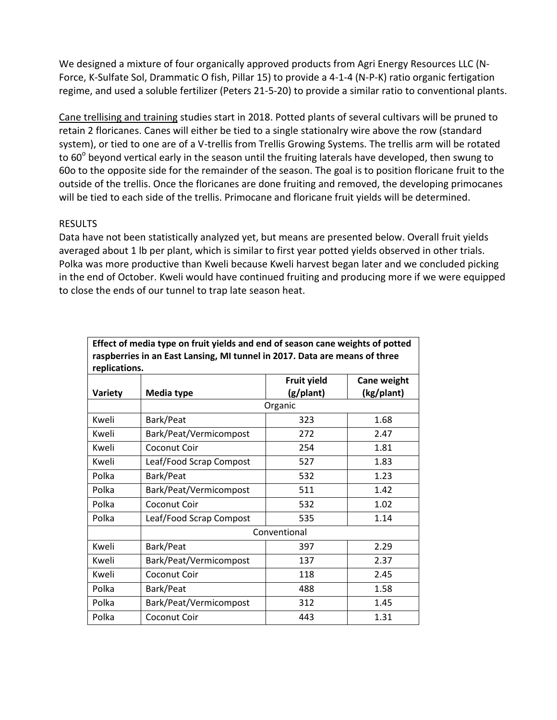We designed a mixture of four organically approved products from Agri Energy Resources LLC (N-Force, K-Sulfate Sol, Drammatic O fish, Pillar 15) to provide a 4-1-4 (N-P-K) ratio organic fertigation regime, and used a soluble fertilizer (Peters 21-5-20) to provide a similar ratio to conventional plants.

Cane trellising and training studies start in 2018. Potted plants of several cultivars will be pruned to retain 2 floricanes. Canes will either be tied to a single stationalry wire above the row (standard system), or tied to one are of a V-trellis from Trellis Growing Systems. The trellis arm will be rotated to 60 $^{\circ}$  beyond vertical early in the season until the fruiting laterals have developed, then swung to 60o to the opposite side for the remainder of the season. The goal is to position floricane fruit to the outside of the trellis. Once the floricanes are done fruiting and removed, the developing primocanes will be tied to each side of the trellis. Primocane and floricane fruit yields will be determined.

## RESULTS

Data have not been statistically analyzed yet, but means are presented below. Overall fruit yields averaged about 1 lb per plant, which is similar to first year potted yields observed in other trials. Polka was more productive than Kweli because Kweli harvest began later and we concluded picking in the end of October. Kweli would have continued fruiting and producing more if we were equipped to close the ends of our tunnel to trap late season heat.

| Effect of media type on fruit yields and end of season cane weights of potted |                         |                    |             |  |  |  |  |
|-------------------------------------------------------------------------------|-------------------------|--------------------|-------------|--|--|--|--|
| raspberries in an East Lansing, MI tunnel in 2017. Data are means of three    |                         |                    |             |  |  |  |  |
| replications.                                                                 |                         |                    |             |  |  |  |  |
|                                                                               |                         | <b>Fruit yield</b> | Cane weight |  |  |  |  |
| Variety                                                                       | Media type              | (g/plant)          | (kg/plant)  |  |  |  |  |
|                                                                               | Organic                 |                    |             |  |  |  |  |
| Kweli                                                                         | Bark/Peat               | 323                | 1.68        |  |  |  |  |
| Kweli                                                                         | Bark/Peat/Vermicompost  | 272                | 2.47        |  |  |  |  |
| Kweli                                                                         | Coconut Coir            | 254                | 1.81        |  |  |  |  |
| Kweli                                                                         | Leaf/Food Scrap Compost | 527                | 1.83        |  |  |  |  |
| Polka                                                                         | Bark/Peat               | 532                | 1.23        |  |  |  |  |
| Polka                                                                         | Bark/Peat/Vermicompost  | 511                | 1.42        |  |  |  |  |
| Polka                                                                         | Coconut Coir            | 532                | 1.02        |  |  |  |  |
| Polka                                                                         | Leaf/Food Scrap Compost | 535                | 1.14        |  |  |  |  |
|                                                                               | Conventional            |                    |             |  |  |  |  |
| Kweli                                                                         | Bark/Peat               | 397                | 2.29        |  |  |  |  |
| Kweli                                                                         | Bark/Peat/Vermicompost  | 137                | 2.37        |  |  |  |  |
| Kweli                                                                         | Coconut Coir            | 118                | 2.45        |  |  |  |  |
| Polka                                                                         | Bark/Peat               | 488                | 1.58        |  |  |  |  |
| Polka                                                                         | Bark/Peat/Vermicompost  | 312                | 1.45        |  |  |  |  |
| Polka                                                                         | Coconut Coir            | 443                | 1.31        |  |  |  |  |